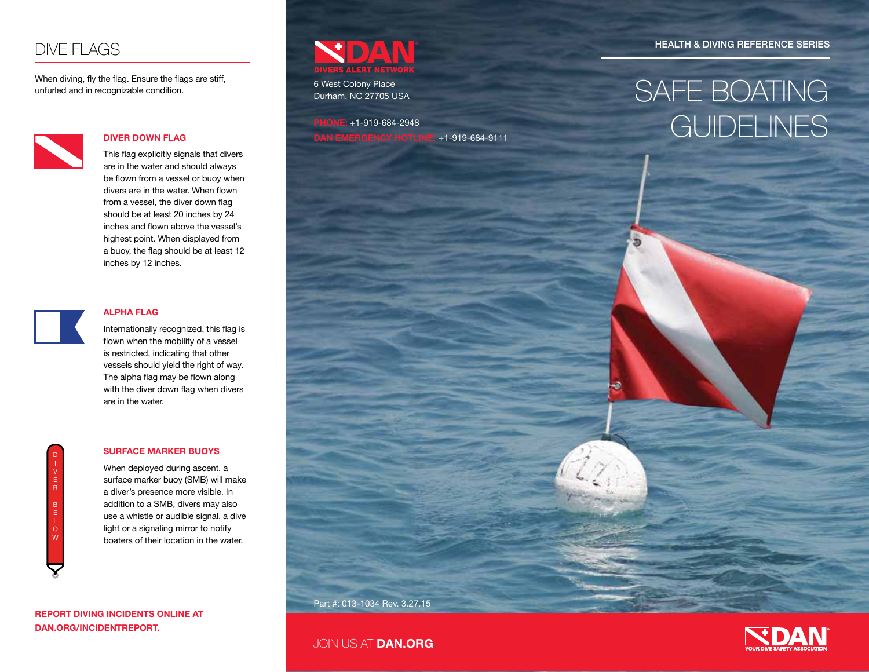## DIVE FLAGS

When diving, fly the flag. Ensure the flags are stiff, unfurled and in recognizable condition.



#### **DIVER DOWN FLAG**

This flag explicitly signals that divers are in the water and should always be flown from a vessel or buoy when divers are in the water. When flown from a vessel, the diver down flag should be at least 20 inches by 24 inches and flown above the vessel's highest point. When displayed from a buoy, the flag should be at least 12 inches by 12 inches.



#### **ALPHA FLAG**

Internationally recognized, this flag is flown when the mobility of a vessel is restricted, indicating that other vessels should yield the right of way. The alpha flag may be flown along with the diver down flag when divers are in the water.

#### **SURFACE MARKER BUOYS**

When deployed during ascent, a surface marker buoy (SMB) will make a diver's presence more visible. In addition to a SMB, divers may also use a whistle or audible signal, a dive light or a signaling mirror to notify boaters of their location in the water.

**REPORT DIVING INCIDENTS ONLINE AT DAN.ORG/INCIDENTREPORT.**



6 West Colony Place Durham, NC 27705 USA

**PHONE:** +1-919-684-2948 **DAN EMERGENCY HOTLINE:** +1-919-684-9111 HEALTH & DIVING REFERENCE SERIES

# SAFE BOATING **GUIDELINES**

Part #: 013-1034 Rev. 3.27.15

JOIN US AT **DAN.ORG**